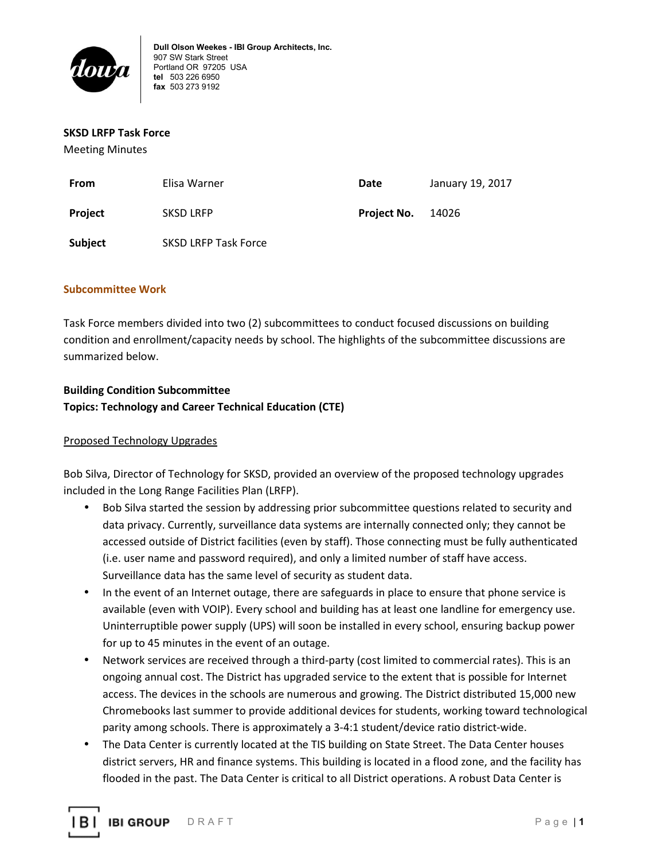

#### **SKSD LRFP Task Force**

Meeting Minutes

| From           | Elisa Warner                | Date        | January 19, 2017 |
|----------------|-----------------------------|-------------|------------------|
| <b>Project</b> | <b>SKSD LRFP</b>            | Project No. | 14026            |
| Subject        | <b>SKSD LRFP Task Force</b> |             |                  |

### **Subcommittee Work**

Task Force members divided into two (2) subcommittees to conduct focused discussions on building condition and enrollment/capacity needs by school. The highlights of the subcommittee discussions are summarized below.

# **Building Condition Subcommittee Topics: Technology and Career Technical Education (CTE)**

## Proposed Technology Upgrades

Bob Silva, Director of Technology for SKSD, provided an overview of the proposed technology upgrades included in the Long Range Facilities Plan (LRFP).

- Bob Silva started the session by addressing prior subcommittee questions related to security and data privacy. Currently, surveillance data systems are internally connected only; they cannot be accessed outside of District facilities (even by staff). Those connecting must be fully authenticated (i.e. user name and password required), and only a limited number of staff have access. Surveillance data has the same level of security as student data.
- In the event of an Internet outage, there are safeguards in place to ensure that phone service is available (even with VOIP). Every school and building has at least one landline for emergency use. Uninterruptible power supply (UPS) will soon be installed in every school, ensuring backup power for up to 45 minutes in the event of an outage.
- Network services are received through a third-party (cost limited to commercial rates). This is an ongoing annual cost. The District has upgraded service to the extent that is possible for Internet access. The devices in the schools are numerous and growing. The District distributed 15,000 new Chromebooks last summer to provide additional devices for students, working toward technological parity among schools. There is approximately a 3-4:1 student/device ratio district-wide.
- The Data Center is currently located at the TIS building on State Street. The Data Center houses district servers, HR and finance systems. This building is located in a flood zone, and the facility has flooded in the past. The Data Center is critical to all District operations. A robust Data Center is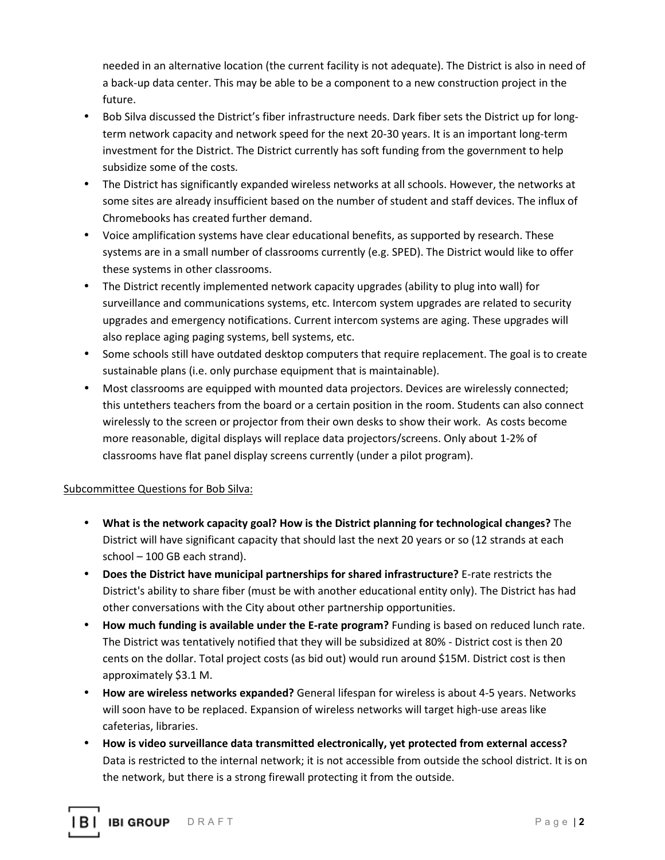needed in an alternative location (the current facility is not adequate). The District is also in need of a back-up data center. This may be able to be a component to a new construction project in the future.

- Bob Silva discussed the District's fiber infrastructure needs. Dark fiber sets the District up for longterm network capacity and network speed for the next 20-30 years. It is an important long-term investment for the District. The District currently has soft funding from the government to help subsidize some of the costs.
- The District has significantly expanded wireless networks at all schools. However, the networks at some sites are already insufficient based on the number of student and staff devices. The influx of Chromebooks has created further demand.
- Voice amplification systems have clear educational benefits, as supported by research. These systems are in a small number of classrooms currently (e.g. SPED). The District would like to offer these systems in other classrooms.
- The District recently implemented network capacity upgrades (ability to plug into wall) for surveillance and communications systems, etc. Intercom system upgrades are related to security upgrades and emergency notifications. Current intercom systems are aging. These upgrades will also replace aging paging systems, bell systems, etc.
- Some schools still have outdated desktop computers that require replacement. The goal is to create sustainable plans (i.e. only purchase equipment that is maintainable).
- Most classrooms are equipped with mounted data projectors. Devices are wirelessly connected; this untethers teachers from the board or a certain position in the room. Students can also connect wirelessly to the screen or projector from their own desks to show their work. As costs become more reasonable, digital displays will replace data projectors/screens. Only about 1-2% of classrooms have flat panel display screens currently (under a pilot program).

## Subcommittee Questions for Bob Silva:

- **What is the network capacity goal? How is the District planning for technological changes?** The District will have significant capacity that should last the next 20 years or so (12 strands at each school – 100 GB each strand).
- **Does the District have municipal partnerships for shared infrastructure?** E-rate restricts the District's ability to share fiber (must be with another educational entity only). The District has had other conversations with the City about other partnership opportunities.
- **How much funding is available under the E-rate program?** Funding is based on reduced lunch rate. The District was tentatively notified that they will be subsidized at 80% - District cost is then 20 cents on the dollar. Total project costs (as bid out) would run around \$15M. District cost is then approximately \$3.1 M.
- **How are wireless networks expanded?** General lifespan for wireless is about 4-5 years. Networks will soon have to be replaced. Expansion of wireless networks will target high-use areas like cafeterias, libraries.
- **How is video surveillance data transmitted electronically, yet protected from external access?**  Data is restricted to the internal network; it is not accessible from outside the school district. It is on the network, but there is a strong firewall protecting it from the outside.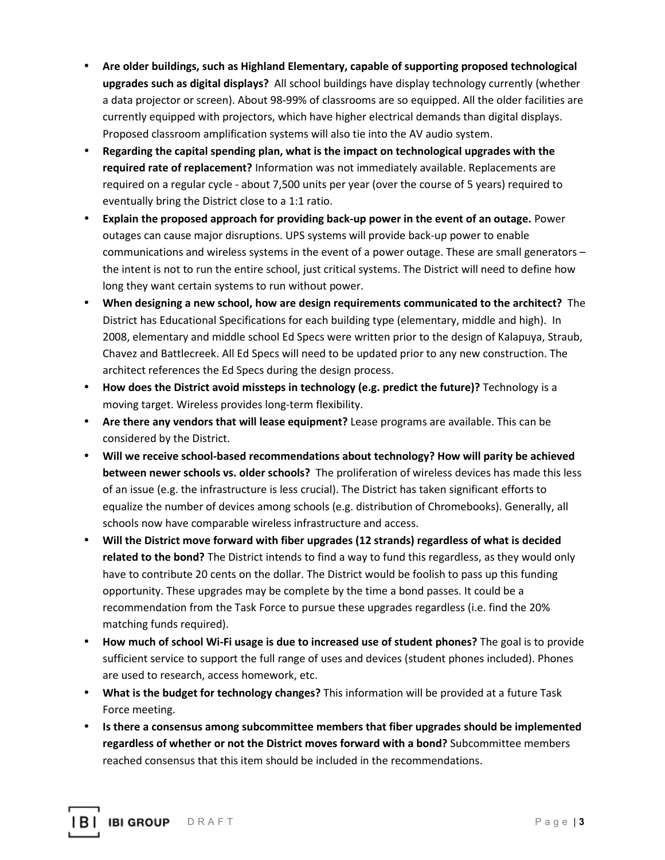- **Are older buildings, such as Highland Elementary, capable of supporting proposed technological upgrades such as digital displays?** All school buildings have display technology currently (whether a data projector or screen). About 98-99% of classrooms are so equipped. All the older facilities are currently equipped with projectors, which have higher electrical demands than digital displays. Proposed classroom amplification systems will also tie into the AV audio system.
- **Regarding the capital spending plan, what is the impact on technological upgrades with the required rate of replacement?** Information was not immediately available. Replacements are required on a regular cycle - about 7,500 units per year (over the course of 5 years) required to eventually bring the District close to a 1:1 ratio.
- **Explain the proposed approach for providing back-up power in the event of an outage.** Power outages can cause major disruptions. UPS systems will provide back-up power to enable communications and wireless systems in the event of a power outage. These are small generators – the intent is not to run the entire school, just critical systems. The District will need to define how long they want certain systems to run without power.
- **When designing a new school, how are design requirements communicated to the architect?** The District has Educational Specifications for each building type (elementary, middle and high). In 2008, elementary and middle school Ed Specs were written prior to the design of Kalapuya, Straub, Chavez and Battlecreek. All Ed Specs will need to be updated prior to any new construction. The architect references the Ed Specs during the design process.
- **How does the District avoid missteps in technology (e.g. predict the future)?** Technology is a moving target. Wireless provides long-term flexibility.
- **Are there any vendors that will lease equipment?** Lease programs are available. This can be considered by the District.
- **Will we receive school-based recommendations about technology? How will parity be achieved between newer schools vs. older schools?** The proliferation of wireless devices has made this less of an issue (e.g. the infrastructure is less crucial). The District has taken significant efforts to equalize the number of devices among schools (e.g. distribution of Chromebooks). Generally, all schools now have comparable wireless infrastructure and access.
- **Will the District move forward with fiber upgrades (12 strands) regardless of what is decided related to the bond?** The District intends to find a way to fund this regardless, as they would only have to contribute 20 cents on the dollar. The District would be foolish to pass up this funding opportunity. These upgrades may be complete by the time a bond passes. It could be a recommendation from the Task Force to pursue these upgrades regardless (i.e. find the 20% matching funds required).
- **How much of school Wi-Fi usage is due to increased use of student phones?** The goal is to provide sufficient service to support the full range of uses and devices (student phones included). Phones are used to research, access homework, etc.
- **What is the budget for technology changes?** This information will be provided at a future Task Force meeting.
- **Is there a consensus among subcommittee members that fiber upgrades should be implemented regardless of whether or not the District moves forward with a bond?** Subcommittee members reached consensus that this item should be included in the recommendations.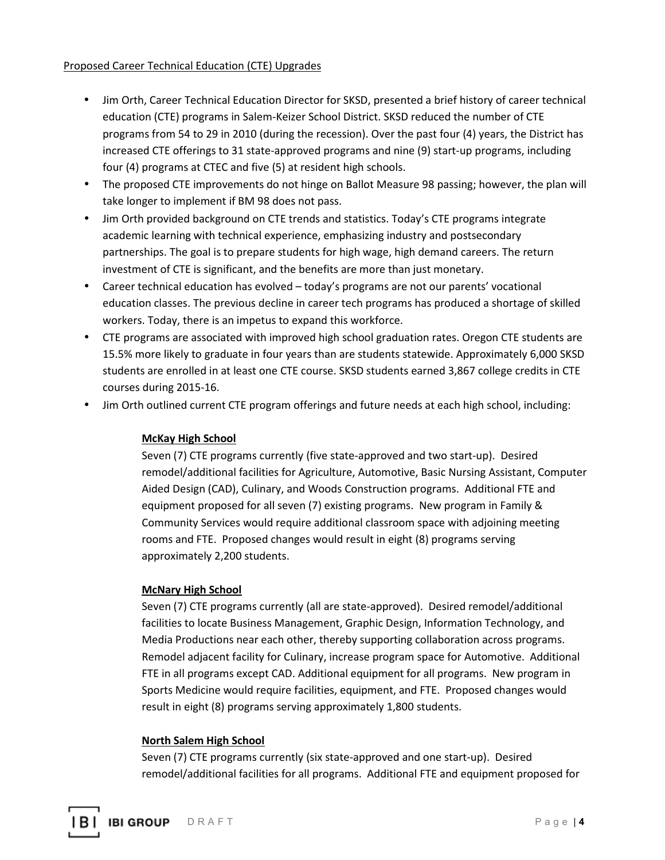## Proposed Career Technical Education (CTE) Upgrades

- Jim Orth, Career Technical Education Director for SKSD, presented a brief history of career technical education (CTE) programs in Salem-Keizer School District. SKSD reduced the number of CTE programs from 54 to 29 in 2010 (during the recession). Over the past four (4) years, the District has increased CTE offerings to 31 state-approved programs and nine (9) start-up programs, including four (4) programs at CTEC and five (5) at resident high schools.
- The proposed CTE improvements do not hinge on Ballot Measure 98 passing; however, the plan will take longer to implement if BM 98 does not pass.
- Jim Orth provided background on CTE trends and statistics. Today's CTE programs integrate academic learning with technical experience, emphasizing industry and postsecondary partnerships. The goal is to prepare students for high wage, high demand careers. The return investment of CTE is significant, and the benefits are more than just monetary.
- Career technical education has evolved today's programs are not our parents' vocational education classes. The previous decline in career tech programs has produced a shortage of skilled workers. Today, there is an impetus to expand this workforce.
- CTE programs are associated with improved high school graduation rates. Oregon CTE students are 15.5% more likely to graduate in four years than are students statewide. Approximately 6,000 SKSD students are enrolled in at least one CTE course. SKSD students earned 3,867 college credits in CTE courses during 2015-16.
- Jim Orth outlined current CTE program offerings and future needs at each high school, including:

## **McKay High School**

Seven (7) CTE programs currently (five state-approved and two start-up). Desired remodel/additional facilities for Agriculture, Automotive, Basic Nursing Assistant, Computer Aided Design (CAD), Culinary, and Woods Construction programs. Additional FTE and equipment proposed for all seven (7) existing programs. New program in Family & Community Services would require additional classroom space with adjoining meeting rooms and FTE. Proposed changes would result in eight (8) programs serving approximately 2,200 students.

## **McNary High School**

Seven (7) CTE programs currently (all are state-approved). Desired remodel/additional facilities to locate Business Management, Graphic Design, Information Technology, and Media Productions near each other, thereby supporting collaboration across programs. Remodel adjacent facility for Culinary, increase program space for Automotive. Additional FTE in all programs except CAD. Additional equipment for all programs. New program in Sports Medicine would require facilities, equipment, and FTE. Proposed changes would result in eight (8) programs serving approximately 1,800 students.

## **North Salem High School**

Seven (7) CTE programs currently (six state-approved and one start-up). Desired remodel/additional facilities for all programs. Additional FTE and equipment proposed for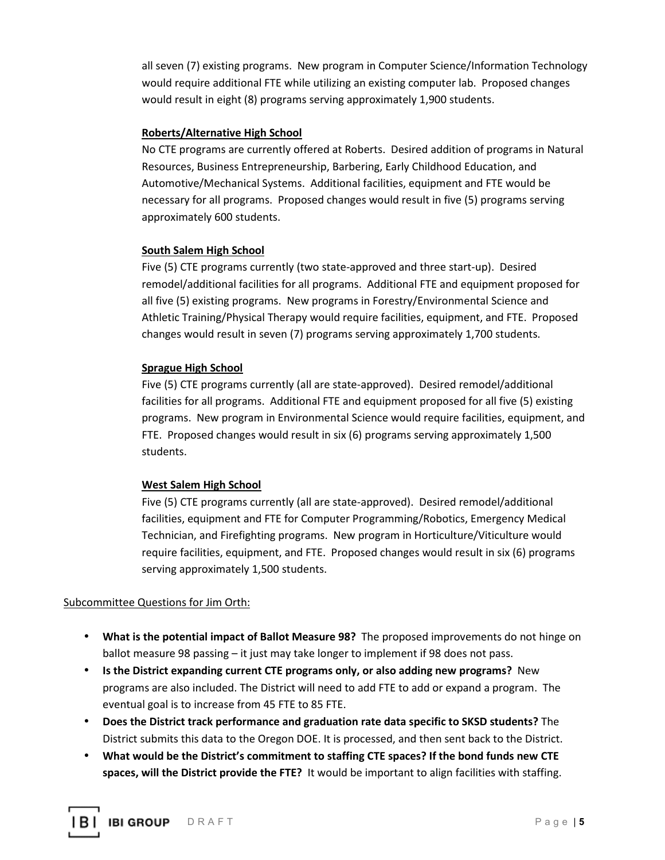all seven (7) existing programs. New program in Computer Science/Information Technology would require additional FTE while utilizing an existing computer lab. Proposed changes would result in eight (8) programs serving approximately 1,900 students.

## **Roberts/Alternative High School**

No CTE programs are currently offered at Roberts. Desired addition of programs in Natural Resources, Business Entrepreneurship, Barbering, Early Childhood Education, and Automotive/Mechanical Systems. Additional facilities, equipment and FTE would be necessary for all programs. Proposed changes would result in five (5) programs serving approximately 600 students.

#### **South Salem High School**

Five (5) CTE programs currently (two state-approved and three start-up). Desired remodel/additional facilities for all programs. Additional FTE and equipment proposed for all five (5) existing programs. New programs in Forestry/Environmental Science and Athletic Training/Physical Therapy would require facilities, equipment, and FTE. Proposed changes would result in seven (7) programs serving approximately 1,700 students.

### **Sprague High School**

Five (5) CTE programs currently (all are state-approved). Desired remodel/additional facilities for all programs. Additional FTE and equipment proposed for all five (5) existing programs. New program in Environmental Science would require facilities, equipment, and FTE. Proposed changes would result in six (6) programs serving approximately 1,500 students.

## **West Salem High School**

Five (5) CTE programs currently (all are state-approved). Desired remodel/additional facilities, equipment and FTE for Computer Programming/Robotics, Emergency Medical Technician, and Firefighting programs. New program in Horticulture/Viticulture would require facilities, equipment, and FTE. Proposed changes would result in six (6) programs serving approximately 1,500 students.

#### Subcommittee Questions for Jim Orth:

- **What is the potential impact of Ballot Measure 98?** The proposed improvements do not hinge on ballot measure 98 passing – it just may take longer to implement if 98 does not pass.
- **Is the District expanding current CTE programs only, or also adding new programs?** New programs are also included. The District will need to add FTE to add or expand a program. The eventual goal is to increase from 45 FTE to 85 FTE.
- **Does the District track performance and graduation rate data specific to SKSD students?** The District submits this data to the Oregon DOE. It is processed, and then sent back to the District.
- **What would be the District's commitment to staffing CTE spaces? If the bond funds new CTE spaces, will the District provide the FTE?** It would be important to align facilities with staffing.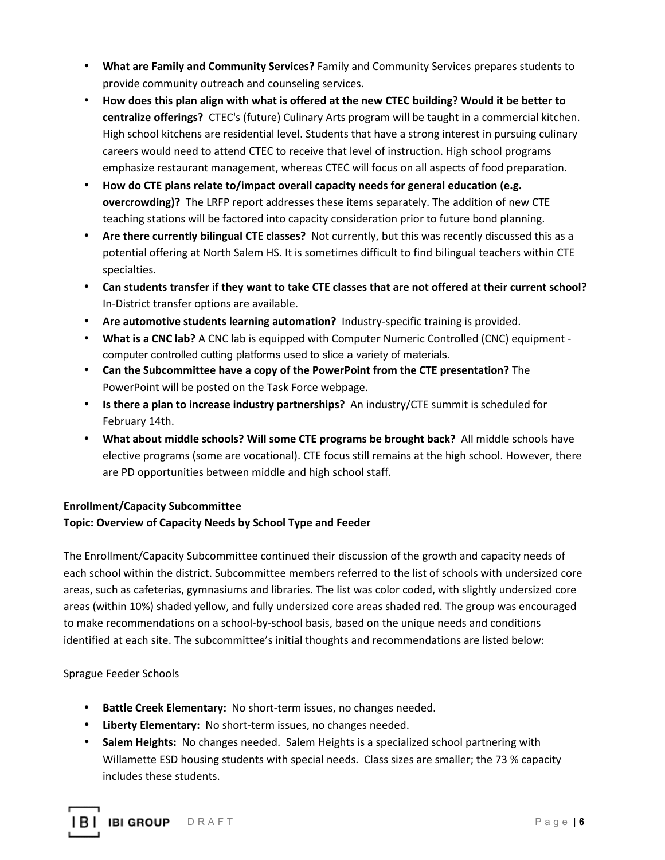- **What are Family and Community Services?** Family and Community Services prepares students to provide community outreach and counseling services.
- **How does this plan align with what is offered at the new CTEC building? Would it be better to centralize offerings?** CTEC's (future) Culinary Arts program will be taught in a commercial kitchen. High school kitchens are residential level. Students that have a strong interest in pursuing culinary careers would need to attend CTEC to receive that level of instruction. High school programs emphasize restaurant management, whereas CTEC will focus on all aspects of food preparation.
- **How do CTE plans relate to/impact overall capacity needs for general education (e.g. overcrowding)?** The LRFP report addresses these items separately. The addition of new CTE teaching stations will be factored into capacity consideration prior to future bond planning.
- **Are there currently bilingual CTE classes?** Not currently, but this was recently discussed this as a potential offering at North Salem HS. It is sometimes difficult to find bilingual teachers within CTE specialties.
- **Can students transfer if they want to take CTE classes that are not offered at their current school?** In-District transfer options are available.
- **Are automotive students learning automation?** Industry-specific training is provided.
- **What is a CNC lab?** A CNC lab is equipped with Computer Numeric Controlled (CNC) equipment computer controlled cutting platforms used to slice a variety of materials.
- **Can the Subcommittee have a copy of the PowerPoint from the CTE presentation?** The PowerPoint will be posted on the Task Force webpage.
- **Is there a plan to increase industry partnerships?** An industry/CTE summit is scheduled for February 14th.
- **What about middle schools? Will some CTE programs be brought back?** All middle schools have elective programs (some are vocational). CTE focus still remains at the high school. However, there are PD opportunities between middle and high school staff.

## **Enrollment/Capacity Subcommittee**

# **Topic: Overview of Capacity Needs by School Type and Feeder**

The Enrollment/Capacity Subcommittee continued their discussion of the growth and capacity needs of each school within the district. Subcommittee members referred to the list of schools with undersized core areas, such as cafeterias, gymnasiums and libraries. The list was color coded, with slightly undersized core areas (within 10%) shaded yellow, and fully undersized core areas shaded red. The group was encouraged to make recommendations on a school-by-school basis, based on the unique needs and conditions identified at each site. The subcommittee's initial thoughts and recommendations are listed below:

## Sprague Feeder Schools

- **Battle Creek Elementary:** No short-term issues, no changes needed.
- **Liberty Elementary:** No short-term issues, no changes needed.
- **Salem Heights:** No changes needed. Salem Heights is a specialized school partnering with Willamette ESD housing students with special needs. Class sizes are smaller; the 73 % capacity includes these students.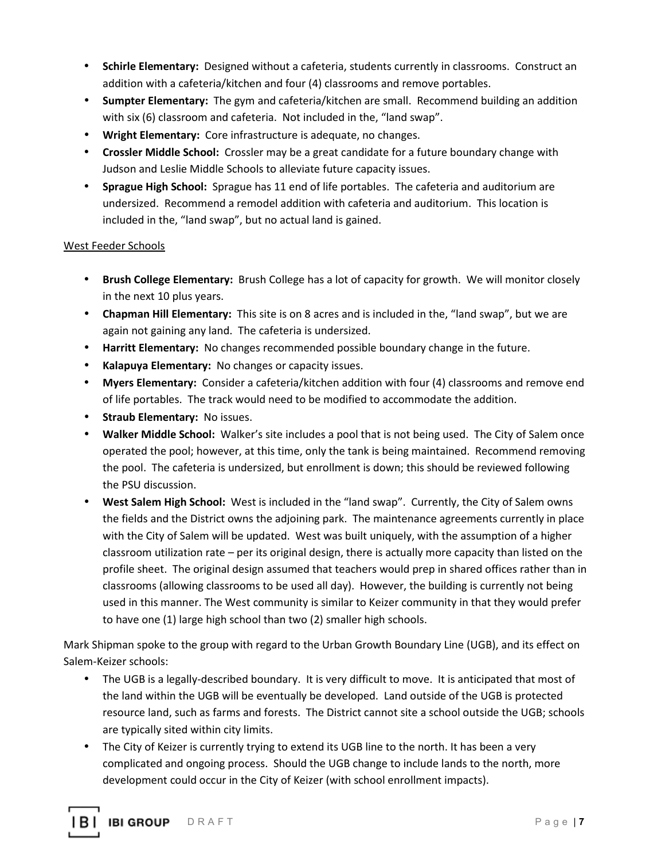- **Schirle Elementary:** Designed without a cafeteria, students currently in classrooms. Construct an addition with a cafeteria/kitchen and four (4) classrooms and remove portables.
- **Sumpter Elementary:** The gym and cafeteria/kitchen are small. Recommend building an addition with six (6) classroom and cafeteria. Not included in the, "land swap".
- **Wright Elementary:** Core infrastructure is adequate, no changes.
- **Crossler Middle School:** Crossler may be a great candidate for a future boundary change with Judson and Leslie Middle Schools to alleviate future capacity issues.
- **Sprague High School:** Sprague has 11 end of life portables. The cafeteria and auditorium are undersized. Recommend a remodel addition with cafeteria and auditorium. This location is included in the, "land swap", but no actual land is gained.

## West Feeder Schools

- **Brush College Elementary:** Brush College has a lot of capacity for growth. We will monitor closely in the next 10 plus years.
- **Chapman Hill Elementary:** This site is on 8 acres and is included in the, "land swap", but we are again not gaining any land. The cafeteria is undersized.
- **Harritt Elementary:** No changes recommended possible boundary change in the future.
- **Kalapuya Elementary:** No changes or capacity issues.
- **Myers Elementary:** Consider a cafeteria/kitchen addition with four (4) classrooms and remove end of life portables. The track would need to be modified to accommodate the addition.
- **Straub Elementary:** No issues.
- **Walker Middle School:** Walker's site includes a pool that is not being used. The City of Salem once operated the pool; however, at this time, only the tank is being maintained. Recommend removing the pool. The cafeteria is undersized, but enrollment is down; this should be reviewed following the PSU discussion.
- **West Salem High School:** West is included in the "land swap". Currently, the City of Salem owns the fields and the District owns the adjoining park. The maintenance agreements currently in place with the City of Salem will be updated. West was built uniquely, with the assumption of a higher classroom utilization rate – per its original design, there is actually more capacity than listed on the profile sheet. The original design assumed that teachers would prep in shared offices rather than in classrooms (allowing classrooms to be used all day). However, the building is currently not being used in this manner. The West community is similar to Keizer community in that they would prefer to have one (1) large high school than two (2) smaller high schools.

Mark Shipman spoke to the group with regard to the Urban Growth Boundary Line (UGB), and its effect on Salem-Keizer schools:

- The UGB is a legally-described boundary. It is very difficult to move. It is anticipated that most of the land within the UGB will be eventually be developed. Land outside of the UGB is protected resource land, such as farms and forests. The District cannot site a school outside the UGB; schools are typically sited within city limits.
- The City of Keizer is currently trying to extend its UGB line to the north. It has been a very complicated and ongoing process. Should the UGB change to include lands to the north, more development could occur in the City of Keizer (with school enrollment impacts).